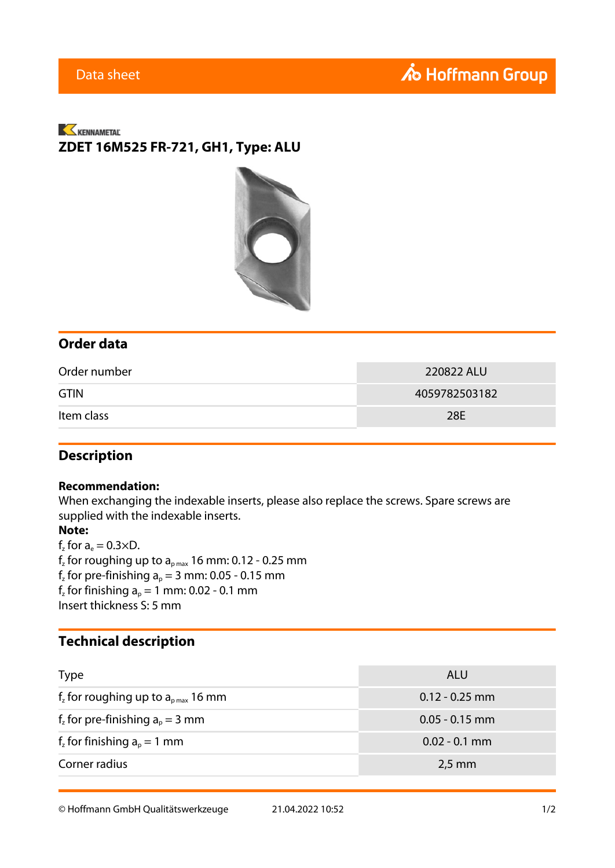## KENNAMETAL **ZDET 16M525 FR-721, GH1, Type: ALU**



### **Order data**

| Order number | 220822 ALU    |
|--------------|---------------|
| <b>GTIN</b>  | 4059782503182 |
| Item class   | 28E           |

### **Description**

#### **Recommendation:**

When exchanging the indexable inserts, please also replace the screws. Spare screws are supplied with the indexable inserts.

#### **Note:**

 $f_z$  for  $a_e = 0.3 \times D$ .  $\rm f_z$  for roughing up to  $\rm a_{pmax}$  16 mm: 0.12 - 0.25 mm  $f<sub>z</sub>$  for pre-finishing  $a<sub>p</sub> = 3$  mm: 0.05 - 0.15 mm  $f<sub>z</sub>$  for finishing  $a<sub>p</sub> = 1$  mm: 0.02 - 0.1 mm Insert thickness S: 5 mm

### **Technical description**

| <b>Type</b>                           | ALU              |
|---------------------------------------|------------------|
| $fz$ for roughing up to $apmax$ 16 mm | $0.12 - 0.25$ mm |
| $fz$ for pre-finishing $ap = 3$ mm    | $0.05 - 0.15$ mm |
| $f_z$ for finishing $a_p = 1$ mm      | $0.02 - 0.1$ mm  |
| Corner radius<br>$2,5$ mm             |                  |